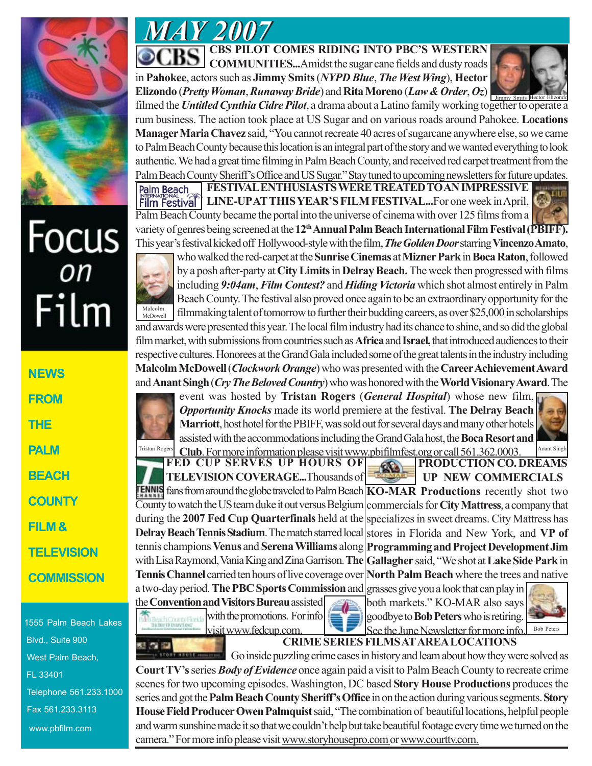

## Focus<br><sup>on</sup> Film

**NEWS FROM THE PALM BEACH COUNTY FILM & TELEVISION COMMISSION**

1555 Palm Beach Lakes Blvd., Suite 900 West Palm Beach, FL 33401 Telephone 561.233.1000 Fax 561.233.3113 www.pbfilm.com

*MAY 2007 MAY 2007*

**CBS PILOT COMES RIDING INTO PBC'S WESTERN COMMUNITIES...**Amidst the sugar cane fields and dusty roads in **Pahokee**, actors such as **Jimmy Smits** (*NYPD Blue*, *The West Wing*), **Hector Elizondo** (*Pretty Woman*, *Runaway Bride*) and **Rita Moreno** (*Law & Order*, *Oz*)



filmed the *Untitled Cynthia Cidre Pilot*, a drama about a Latino family working together to operate a Jimmy Smits Hector Elizondo rum business. The action took place at US Sugar and on various roads around Pahokee. **Locations Manager Maria Chavez** said, "You cannot recreate 40 acres of sugarcane anywhere else, so we came to Palm Beach County because this location is an integral part of the story and we wanted everything to look authentic. We had a great time filming in Palm Beach County, and received red carpet treatment from the Palm Beach County Sheriff's Office and US Sugar." Stay tuned to upcoming newsletters for future updates.

Palm Beach **FESTIVAL ENTHUSIASTS WERE TREATED TO AN IMPRESSIVE Film Festival | LINE-UP AT THIS YEAR'S FILM FESTIVAL...For one week in April, New** Palm Beach County became the portal into the universe of cinema with over 125 films from a variety of genres being screened at the **12th Annual Palm Beach International Film Festival (PBIFF).** This year's festival kicked off Hollywood-style with the film, *The Golden Door* starring **Vincenzo Amato**,



who walked the red-carpet at the **Sunrise Cinemas** at **Mizner Park** in **Boca Raton**, followed by a posh after-party at **City Limits** in **Delray Beach.** The week then progressed with films including *9:04am*, *Film Contest?* and *Hiding Victoria* which shot almost entirely in Palm Beach County. The festival also proved once again to be an extraordinary opportunity for the filmmaking talent of tomorrow to further their budding careers, as over \$25,000 in scholarships and awards were presented this year. The local film industry had its chance to shine, and so did the global film market, with submissions from countries such as **Africa** and **Israel,** that introduced audiences to their

respective cultures. Honorees at the Grand Gala included some of the great talents in the industry including **Malcolm McDowell** (*Clockwork Orange*) who was presented with the **Career Achievement Award** and **Anant Singh** (*Cry The Beloved Country*) who was honored with the **World Visionary Award**. The

event was hosted by **Tristan Rogers** (*General Hospital*) whose new film, *Opportunity Knocks* made its world premiere at the festival. **The Delray Beach Marriott**, host hotel for the PBIFF, was sold out for several days and many other hotels assisted with the accommodations including the Grand Gala host, the **Boca Resort and**

Tristan Rogers **Club**. For more information please visit www.pbifilmfest.org or call 561.362.0003. **FED CUP SERVES UP HOURS OF PRODUCTION CO. DREAMS** œ. **TELEVISION COVERAGE...**Thousands of **UP NEW COMMERCIALS** fans from around the globe traveled to Palm Beach **KO-MAR Productions** recently shot two

County to watch the US team duke it out versus Belgium commercials for **City Mattress**, a company that during the **2007 Fed Cup Quarterfinals** held at the specializes in sweet dreams. City Mattress has Delray Beach Tennis Stadium. The match starred local stores in Florida and New York, and VP of tennis champions **Venus** and **Serena Williams** along **Programming and Project Development Jim** with Lisa Raymond, Vania King and Zina Garrison. **The Gallagher** said, "We shot at **Lake Side Park** in **Tennis Channel** carried ten hours of live coverage over a two-day period. **The PBC Sports Commission** and grasses give you a look that can play in the **Convention and Visitors Bureau** assisted **North Palm Beach** where the trees and native

with the promotions. For info visit www.fedcup.com.



both markets." KO-MAR also says goodbye to **Bob Peters** who is retiring. See the June Newsletter for more info.  $B$ <sup>Bob Peters</sup>



**CRIME SERIES FILMS AT AREA LOCATIONS**

Go inside puzzling crime cases in history and learn about how they were solved as **Court TV's** series *Body of Evidence* once again paid a visit to Palm Beach County to recreate crime scenes for two upcoming episodes. Washington, DC based **Story House Productions** produces the series and got the **Palm Beach County Sheriff's Office** in on the action during various segments. **Story House Field Producer Owen Palmquist** said, "The combination of beautiful locations, helpful people and warm sunshine made it so that we couldn't help but take beautiful footage every time we turned on the camera." For more info please visit www.storyhousepro.com or www.courttv.com.